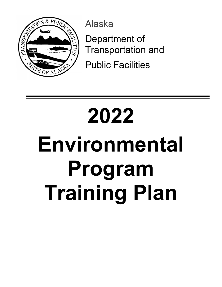

Alaska

Department of Transportation and

Public Facilities

# **2022 Environmental Program Training Plan**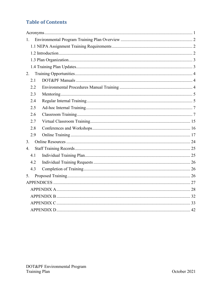#### **Table of Contents**

| $1_{-}$          |  |
|------------------|--|
|                  |  |
|                  |  |
|                  |  |
|                  |  |
| 2.               |  |
| 2.1              |  |
| 2.2              |  |
| 2.3              |  |
| 2.4              |  |
| 2.5              |  |
| 2.6              |  |
| 2.7              |  |
| 2.8              |  |
| 2.9              |  |
| 3.               |  |
| $\overline{4}$ . |  |
| 4.1              |  |
| 4.2              |  |
| 4.3              |  |
| 5.               |  |
|                  |  |
|                  |  |
|                  |  |
|                  |  |
|                  |  |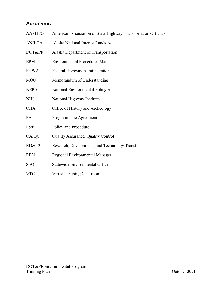### <span id="page-2-0"></span>**Acronyms**

| <b>AASHTO</b> | American Association of State Highway Transportation Officials |
|---------------|----------------------------------------------------------------|
| <b>ANILCA</b> | Alaska National Interest Lands Act                             |
| DOT&PF        | Alaska Department of Transportation                            |
| <b>EPM</b>    | <b>Environmental Procedures Manual</b>                         |
| <b>FHWA</b>   | Federal Highway Administration                                 |
| <b>MOU</b>    | Memorandum of Understanding                                    |
| <b>NEPA</b>   | National Environmental Policy Act                              |
| <b>NHI</b>    | National Highway Institute                                     |
| <b>OHA</b>    | Office of History and Archeology                               |
| PA            | Programmatic Agreement                                         |
| P&P           | Policy and Procedure                                           |
| QA/QC         | Quality Assurance/ Quality Control                             |
| RD&T2         | Research, Development, and Technology Transfer                 |
| <b>REM</b>    | Regional Environmental Manager                                 |
| <b>SEO</b>    | Statewide Environmental Office                                 |
| <b>VTC</b>    | Virtual Training Classroom                                     |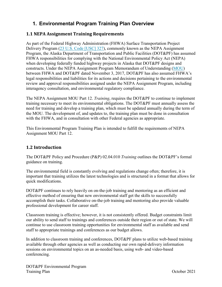#### <span id="page-3-0"></span>**1. Environmental Program Training Plan Overview**

#### <span id="page-3-1"></span>**1.1 NEPA Assignment Training Requirements**

As part of the Federal Highway Administration (FHWA) Surface Transportation Project Delivery Program [\(23 U.S. Code \[USC\] 327\)](https://www.govinfo.gov/content/pkg/USCODE-2011-title23/pdf/USCODE-2011-title23-chap3-sec327.pdf), commonly known as the NEPA Assignment Program, the Alaska Department of Transportation and Public Facilities (DOT&PF) has assumed FHWA responsibilities for complying with the National Environmental Policy Act (NEPA) when developing federally funded highway projects in Alaska that DOT&PF designs and constructs. Under the NEPA Assignment Program Memorandum of Understanding [\(MOU\)](http://dot.alaska.gov/stwddes/desenviron/assets/pdf/nepa/nepa_mouapproved.pdf) between FHWA and DOT&PF dated November 3, 2017, DOT&PF has also assumed FHWA's legal responsibilities and liabilities for its actions and decisions pertaining to the environmental review and approval responsibilities assigned under the NEPA Assignment Program, including interagency consultation, and environmental regulatory compliance.

The NEPA Assignment MOU Part 12. *Training*, requires the DOT&PF to continue to implement training necessary to meet its environmental obligations. The DOT&PF must annually assess the need for training and develop a training plan, which must be updated annually during the term of the MOU. The development of, and updates to, the training plan must be done in consultation with the FHWA, and in consultation with other Federal agencies as appropriate.

This Environmental Program Training Plan is intended to fulfill the requirements of NEPA Assignment MOU Part 12.

#### <span id="page-3-2"></span>**1.2 Introduction**

The DOT&PF Policy and Procedure (P&P) 02.04.010 *Training* outlines the DOT&PF's formal guidance on training.

The environmental field is constantly evolving and regulations change often; therefore, it is important that training utilizes the latest technologies and is structured in a format that allows for quick modifications.

DOT&PF continues to rely heavily on on-the-job training and mentoring as an efficient and effective method of ensuring that new environmental staff get the skills to successfully accomplish their tasks. Collaborative on-the-job training and mentoring also provide valuable professional development for career staff.

Classroom training is effective; however, it is not consistently offered. Budget constraints limit our ability to send staff to trainings and conferences outside their region or out of state. We will continue to use classroom training opportunities for environmental staff as available and send staff to appropriate trainings and conferences as our budget allows.

In addition to classroom training and conferences, DOT&PF plans to utilize web-based training available through other agencies as well as conducting our own rapid-delivery information sessions on environmental topics on an as-needed basis, using web- and video-based conferencing.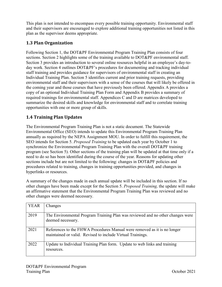This plan is not intended to encompass every possible training opportunity. Environmental staff and their supervisors are encouraged to explore additional training opportunities not listed in this plan as the supervisor deems appropriate.

#### <span id="page-4-0"></span>**1.3 Plan Organization**

Following Section 1, the DOT&PF Environmental Program Training Plan consists of four sections. Section 2 highlights some of the training available to DOT&PF environmental staff. Section 3 provides an introduction to several online resources helpful in an employee's day-today work. Section 4 outlines DOT&PF's procedures for documenting and tracking individual staff training and provides guidance for supervisors of environmental staff in creating an Individual Training Plan. Section 5 identifies current and prior training requests, providing environmental staff and their supervisors with a sense of the courses that will likely be offered in the coming year and those courses that have previously been offered. Appendix A provides a copy of an optional Individual Training Plan Form and Appendix B provides a summary of required trainings for environmental staff. Appendices C and D are matrices developed to summarize the desired skills and knowledge for environmental staff and to correlate training opportunities with one or more group of skills.

#### <span id="page-4-1"></span>**1.4 Training Plan Updates**

The Environmental Program Training Plan is not a static document. The Statewide Environmental Office (SEO) intends to update this Environmental Program Training Plan annually as required by the NEPA Assignment MOU. In order to fulfill this requirement, the SEO intends for Section 5. *Proposed Training* to be updated each year by October 1 to synchronize the Environmental Program Training Plan with the overall DOT&PF training program (see Section 5). Other sections of the training plan will be updated at that time only if a need to do so has been identified during the course of the year. Reasons for updating other sections include but are not limited to the following: changes in DOT&PF policies and procedures related to training, changes in training opportunities provided, and changes in hyperlinks or resources.

A summary of the changes made in each annual update will be included in this section. If no other changes have been made except for the Section 5. *Proposed Training,* the update will make an affirmative statement that the Environmental Program Training Plan was reviewed and no other changes were deemed necessary.

| <b>YEAR</b> | Changes                                                                                                                                |
|-------------|----------------------------------------------------------------------------------------------------------------------------------------|
| 2019        | The Environmental Program Training Plan was reviewed and no other changes were<br>deemed necessary.                                    |
| 2021        | References to the FHWA Procedures Manual were removed as it is no longer<br>maintained or valid. Revised to include Virtual Trainings. |
| 2022        | Update to Individual Training Plan form. Update to web links and training<br>resources.                                                |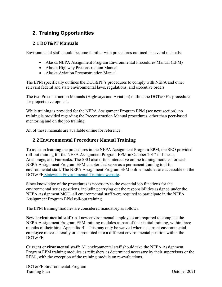#### <span id="page-5-0"></span>**2. Training Opportunities**

#### <span id="page-5-1"></span>**2.1 DOT&PF Manuals**

Environmental staff should become familiar with procedures outlined in several manuals:

- Alaska NEPA Assignment Program Environmental Procedures Manual (EPM)
- Alaska Highway Preconstruction Manual
- Alaska Aviation Preconstruction Manual

The EPM specifically outlines the DOT&PF's procedures to comply with NEPA and other relevant federal and state environmental laws, regulations, and executive orders.

The two Preconstruction Manuals (Highways and Aviation) outline the DOT&PF's procedures for project development.

While training is provided for the NEPA Assignment Program EPM (see next section), no training is provided regarding the Preconstruction Manual procedures, other than peer-based mentoring and on the job training.

All of these manuals are available online for reference.

#### <span id="page-5-2"></span>**2.2 Environmental Procedures Manual Training**

To assist in learning the procedures in the NEPA Assignment Program EPM, the SEO provided roll-out training for the NEPA Assignment Program EPM in October 2017 in Juneau, Anchorage, and Fairbanks. The SEO also offers interactive online training modules for each NEPA Assignment Program EPM chapter that serve as a permanent training tool for environmental staff. The NEPA Assignment Program EPM online modules are accessible on the DOT&PF [Statewide Environmental Training website.](http://www.dot.state.ak.us/stwddes/desenviron/resources/training.shtml)

Since knowledge of the procedures is necessary to the essential job functions for the environmental series positions, including carrying out the responsibilities assigned under the NEPA Assignment MOU, all environmental staff were required to participate in the NEPA Assignment Program EPM roll-out training.

The EPM training modules are considered mandatory as follows:

**New environmental staff:** All new environmental employees are required to complete the NEPA Assignment Program EPM training modules as part of their initial training, within three months of their hire [Appendix B]. This may only be waived where a current environmental employee moves laterally or is promoted into a different environmental position within the DOT&PF.

**Current environmental staff**: All environmental staff should take the NEPA Assignment Program EPM training modules as refreshers as determined necessary by their supervisors or the REM., with the exception of the training module on re-evaluations.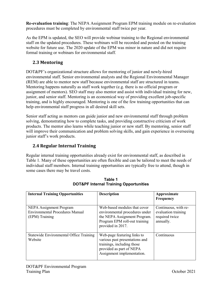**Re-evaluation training**: The NEPA Assignment Program EPM training module on re-evaluation procedures must be completed by environmental staff twice per year.

As the EPM is updated, the SEO will provide webinar training to the Regional environmental staff on the updated procedures. These webinars will be recorded and posted on the training website for future use. The 2020 update of the EPM was minor in nature and did not require formal training or webinars for environmental staff.

#### <span id="page-6-0"></span>**2.3 Mentoring**

DOT&PF's organizational structure allows for mentoring of junior and newly-hired environmental staff. Senior environmental analysts and the Regional Environmental Manager (REM) are able to mentor new staff because environmental staff are structured in teams. Mentoring happens naturally as staff work together (e.g. there is no official program or assignment of mentors). SEO staff may also mentor and assist with individual training for new, junior, and senior staff. Mentoring is an economical way of providing excellent job-specific training, and is highly encouraged. Mentoring is one of the few training opportunities that can help environmental staff progress in all desired skill sets.

Senior staff acting as mentors can guide junior and new environmental staff through problem solving, demonstrating how to complete tasks, and providing constructive criticism of work products. The mentor also learns while teaching junior or new staff. By mentoring, senior staff will improve their communication and problem solving skills, and gain experience in overseeing junior staff's work products.

#### <span id="page-6-1"></span>**2.4 Regular Internal Training**

Regular internal training opportunities already exist for environmental staff, as described in Table 1. Many of these opportunities are often flexible and can be tailored to meet the needs of individual staff members. Internal training opportunities are typically free to attend, though in some cases there may be travel costs.

| <b>Internal Training Opportunities</b>                                              | <b>Description</b>                                                                                                                                    | Approximate<br>Frequency                                                   |
|-------------------------------------------------------------------------------------|-------------------------------------------------------------------------------------------------------------------------------------------------------|----------------------------------------------------------------------------|
| NEPA Assignment Program<br><b>Environmental Procedures Manual</b><br>(EPM) Training | Web-based modules that cover<br>environmental procedures under<br>the NEPA Assignment Program.<br>Program EPM roll-out training<br>provided in 2017.  | Continuous, with re-<br>evaluation training<br>required twice<br>annually. |
| Statewide Environmental Office Training<br>Website                                  | Web-page featuring links to<br>various past presentations and<br>trainings, including those<br>provided as part of NEPA<br>Assignment implementation. | Continuous                                                                 |

**Table 1 DOT&PF Internal Training Opportunities**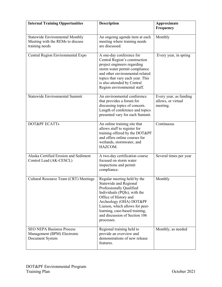| <b>Internal Training Opportunities</b>                                                       | <b>Description</b>                                                                                                                                                                                                                                                                        | Approximate<br>Frequency                                 |
|----------------------------------------------------------------------------------------------|-------------------------------------------------------------------------------------------------------------------------------------------------------------------------------------------------------------------------------------------------------------------------------------------|----------------------------------------------------------|
| <b>Statewide Environmental Monthly</b><br>Meeting with the REMs to discuss<br>training needs | An ongoing agenda item at each<br>meeting where training needs<br>are discussed.                                                                                                                                                                                                          | Monthly                                                  |
| Central Region Environmental Expo                                                            | A one-day conference for<br>Central Region's construction<br>project engineers regarding<br>storm water permit compliance<br>and other environmental-related<br>topics that vary each year. This<br>is also attended by Central<br>Region environmental staff.                            | Every year, in spring                                    |
| <b>Statewide Environmental Summit</b>                                                        | An environmental conference<br>that provides a forum for<br>discussing topics of concern.<br>Length of conference and topics<br>presented vary for each Summit.                                                                                                                           | Every year, as funding<br>allows, or virtual<br>meeting. |
| <b>DOT&amp;PF ECATTs</b>                                                                     | An online training site that<br>allows staff to register for<br>training offered by the DOT&PF<br>and offers online courses for<br>wetlands, stormwater, and<br>HAZCOM.                                                                                                                   | Continuous                                               |
| Alaska Certified Erosion and Sediment<br>Control Lead (AK-CESCL)                             | A two-day certification course<br>focused on storm water<br>inspections and permit<br>compliance.                                                                                                                                                                                         | Several times per year                                   |
| Cultural Resource Team (CRT) Meetings                                                        | Regular meeting held by the<br>Statewide and Regional<br>Professionally Qualified<br>Individuals (PQIs), with the<br>Office of History and<br>Archeology (OHA) DOT&PF<br>Liaison, which allows for peer-<br>learning, case-based training,<br>and discussion of Section 106<br>processes. | Monthly                                                  |
| <b>SEO NEPA Business Process</b><br>Management (BPM) Electronic<br>Document System           | Regional training held to<br>provide an overview and<br>demonstrations of new release<br>features.                                                                                                                                                                                        | Monthly, as needed                                       |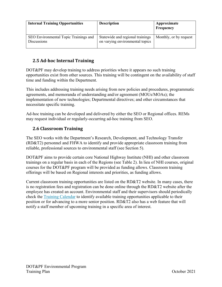| <b>Internal Training Opportunities</b>                      | <b>Description</b>                                                  | Approximate<br>Frequency |
|-------------------------------------------------------------|---------------------------------------------------------------------|--------------------------|
| SEO Environmental Topic Trainings and<br><b>Discussions</b> | Statewide and regional trainings<br>on varying environmental topics | Monthly, or by request   |

#### <span id="page-8-0"></span>**2.5 Ad-hoc Internal Training**

DOT&PF may develop training to address priorities where it appears no such training opportunities exist from other sources. This training will be contingent on the availability of staff time and funding within the Department.

This includes addressing training needs arising from new policies and procedures, programmatic agreements, and memoranda of understanding and/or agreement (MOUs/MOAs); the implementation of new technologies; Departmental directives; and other circumstances that necessitate specific training.

Ad-hoc training can be developed and delivered by either the SEO or Regional offices. REMs may request individual or regularly-occurring ad-hoc training from SEO.

#### <span id="page-8-1"></span>**2.6 Classroom Training**

The SEO works with the Department's Research, Development, and Technology Transfer (RD&T2) personnel and FHWA to identify and provide appropriate classroom training from reliable, professional sources to environmental staff (see Section 5).

DOT&PF aims to provide certain core National Highway Institute (NHI) and other classroom trainings on a regular basis in each of the Regions (see Table 2). In lieu of NHI courses, original courses for the DOT&PF program will be provided as funding allows. Classroom training offerings will be based on Regional interests and priorities, as funding allows.

Current classroom training opportunities are listed on the RD&T2 website. In many cases, there is no registration fees and registration can be done online through the RD&T2 website after the employee has created an account. Environmental staff and their supervisors should periodically check the [Training Calendar](http://dot.alaska.ecatts.com/lmsTrainingCalendar) to identify available training opportunities applicable to their position or for advancing to a more senior position. RD&T2 also has a web feature that will notify a staff member of upcoming training in a specific area of interest.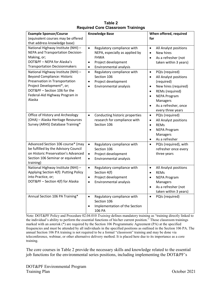| <b>Example Sponsor/Course</b>                                                                                                                                                                                       | <b>Knowledge Base</b>                                                                                                                                               | When offered, required                                                                                                                                                                                                                                          |
|---------------------------------------------------------------------------------------------------------------------------------------------------------------------------------------------------------------------|---------------------------------------------------------------------------------------------------------------------------------------------------------------------|-----------------------------------------------------------------------------------------------------------------------------------------------------------------------------------------------------------------------------------------------------------------|
| (equivalent courses may be offered                                                                                                                                                                                  |                                                                                                                                                                     | for                                                                                                                                                                                                                                                             |
| that address knowledge base)                                                                                                                                                                                        |                                                                                                                                                                     |                                                                                                                                                                                                                                                                 |
| National Highway Institute (NHI) -<br>NEPA and Transportation Decision-<br>Making, or;<br>DOT&PF - NEPA for Alaska's<br><b>Transportation Decisionmakers</b>                                                        | $\bullet$<br>Regulatory compliance with<br>NEPA, especially as applied by<br><b>FHWA</b><br>Project development<br>$\bullet$<br>Environmental analysis<br>$\bullet$ | All Analyst positions<br>$\bullet$<br>New hires<br>$\bullet$<br>As a refresher (not<br>$\bullet$<br>taken within 3 years)                                                                                                                                       |
| National Highway Institute (NHI) -<br><b>Beyond Compliance: Historic</b><br>Preservation in Transportation<br>Project Development*, or;<br>DOT&PF - Section 106 for the<br>Federal-Aid Highway Program in<br>Alaska | Regulatory compliance with<br>$\bullet$<br>Section 106<br>Project development<br>$\bullet$<br>Environmental analysis<br>$\bullet$                                   | PQIs (required)<br>$\bullet$<br>All Analyst positions<br>$\bullet$<br>(required)<br>New hires (required)<br>$\bullet$<br>REMs (required)<br>$\bullet$<br><b>NEPA Program</b><br>$\bullet$<br>Managers<br>As a refresher, once<br>$\bullet$<br>every three years |
| Office of History and Archeology<br>(OHA) - Alaska Heritage Resources<br>Survey (ARHS) Database Training*                                                                                                           | Conducting historic properties<br>$\bullet$<br>research for compliance with<br>Section 106                                                                          | PQIs (required)<br>$\bullet$<br>All Analyst positions<br>$\bullet$<br><b>REMs</b><br>$\bullet$<br><b>NEPA Program</b><br>$\bullet$<br>Managers<br>As a refresher<br>$\bullet$                                                                                   |
| Advanced Section 106 course* (may<br>be fulfilled by the Advisory Council<br>on Historic Preservation's Advanced<br>Section 106 Seminar or equivalent<br>training)                                                  | Regulatory compliance with<br>$\bullet$<br>Section 106<br>Project development<br>$\bullet$<br>Environmental analysis<br>$\bullet$                                   | PQIs (required), with<br>$\bullet$<br>refresher once every<br>three years                                                                                                                                                                                       |
| National Highway Institute (NHI) -<br>Applying Section 4(f): Putting Policy<br>into Practice, or;<br>DOT&PF - Section 4(f) for Alaska                                                                               | Regulatory compliance with<br>$\bullet$<br>Section 4(f)<br>Project development<br>$\bullet$<br>Environmental analysis<br>$\bullet$                                  | All Analyst positions<br>$\bullet$<br><b>REMs</b><br>$\bullet$<br><b>NEPA Program</b><br>$\bullet$<br>Managers<br>As a refresher (not<br>$\bullet$<br>taken within 3 years)                                                                                     |
| Annual Section 106 PA Training*                                                                                                                                                                                     | Regulatory compliance with<br>$\bullet$<br>Section 106<br>Implementation of the Section<br>$\bullet$<br>106 PA                                                      | PQIs (required)<br>$\bullet$                                                                                                                                                                                                                                    |

**Table 2 Required Core Classroom Trainings** 

Note: DOT&PF Policy and Procedure 02.04.010 *Training* defines mandatory training as "training directly linked to the individual's ability to perform the essential functions of his/her current position." Those classroom trainings marked with an asterisk (\*) are required by the Section 106 Programmatic Agreement (PA) at the specified frequencies and must be attended by all individuals in the specified positions as outlined in the Section 106 PA. The annual Section 106 PA training is not required to be a formal "classroom" training and may be done via teleconference, webinar, or other alternative delivery method. It is placed here due to its importance as a core training.

The core courses in Table 2 provide the necessary skills and knowledge related to the essential job functions for the environmental series positions, including implementing the DOT&PF's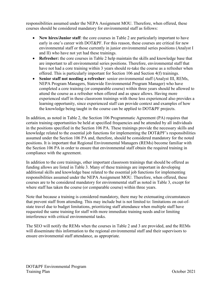responsibilities assumed under the NEPA Assignment MOU. Therefore, when offered, these courses should be considered mandatory for environmental staff as follows:

- **New hires/Junior staff**: the core courses in Table 2 are particularly important to have early in one's career with DOT&PF. For this reason, these courses are critical for new environmental staff or those currently in junior environmental series positions (Analyst I and II) who have not yet had these trainings.
- **Refresher:** the core courses in Table 2 help maintain the skills and knowledge base that are important to all environmental series positions. Therefore, environmental staff that have not had a core training within 3 years should re-take the course as a refresher when offered. This is particularly important for Section 106 and Section 4(f) trainings.
- **Senior staff not needing a refresher**: senior environmental staff (Analyst III, REMs, NEPA Program Managers, Statewide Environmental Program Manager) who have completed a core training (or comparable course) within three years should be allowed to attend the course as a refresher when offered and as space allows. Having more experienced staff in these classroom trainings with those less experienced also provides a learning opportunity, since experienced staff can provide context and examples of how the knowledge being taught in the course can be applied to DOT&PF projects.

In addition, as noted in Table 2, the Section 106 Programmatic Agreement (PA) requires that certain training opportunities be held at specified frequencies and be attended by all individuals in the positions specified in the Section 106 PA. These trainings provide the necessary skills and knowledge related to the essential job functions for implementing the DOT&PF's responsibilities assumed under the Section 106 PA and, therefore, should be considered mandatory for the noted positions. It is important that Regional Environmental Managers (REMs) become familiar with the Section 106 PA in order to ensure that environmental staff obtain the required training in compliance with the agreement.

In addition to the core trainings, other important classroom trainings that should be offered as funding allows are listed in Table 3. Many of these trainings are important in developing additional skills and knowledge base related to the essential job functions for implementing responsibilities assumed under the NEPA Assignment MOU. Therefore, when offered, these courses are to be considered mandatory for environmental staff as noted in Table 3, except for where staff has taken the course (or comparable course) within three years.

Note that because a training is considered mandatory, there may be extenuating circumstances that prevent staff from attending. This may include but is not limited to: limitations on out-ofstate travel due to budget limitations, prioritizing staff attendance when multiple staff have requested the same training for staff with more immediate training needs and/or limiting interference with critical environmental tasks.

The SEO will notify the REMs when the courses in Table 2 and 3 are provided, and the REMs will disseminate this information to the regional environmental staff and their supervisors to ensure environmental staff attendance, as appropriate.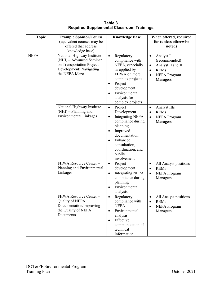**Table 3 Required Supplemental Classroom Trainings**

| <b>Topic</b> | <b>Example Sponsor/Course</b><br>(equivalent courses may be<br>offered that address<br>knowledge base)                          | <b>Knowledge Base</b>                                                                                                                                                                                                                          | When offered, required<br>for (unless otherwise<br>noted)                                                                                              |
|--------------|---------------------------------------------------------------------------------------------------------------------------------|------------------------------------------------------------------------------------------------------------------------------------------------------------------------------------------------------------------------------------------------|--------------------------------------------------------------------------------------------------------------------------------------------------------|
| <b>NEPA</b>  | National Highway Institute<br>(NHI) - Advanced Seminar<br>on Transportation Project<br>Development: Navigating<br>the NEPA Maze | Regulatory<br>$\bullet$<br>compliance with<br>NEPA, especially<br>as applied by<br>FHWA on more<br>complex projects<br>Project<br>$\bullet$<br>development<br>Environmental<br>$\bullet$<br>analysis for<br>complex projects                   | Analyst I<br>$\bullet$<br>(recommended)<br>Analyst II and III<br>$\bullet$<br><b>REMs</b><br>$\bullet$<br><b>NEPA Program</b><br>$\bullet$<br>Managers |
|              | National Highway Institute<br>(NHI) - Planning and<br><b>Environmental Linkages</b>                                             | Project<br>$\bullet$<br>Development<br><b>Integrating NEPA</b><br>$\bullet$<br>compliance during<br>planning<br>Improved<br>$\bullet$<br>documentation<br>Enhanced<br>$\bullet$<br>consultation,<br>coordination, and<br>public<br>involvement | Analyst IIIs<br>$\bullet$<br><b>REMs</b><br>$\bullet$<br><b>NEPA</b> Program<br>$\bullet$<br>Managers                                                  |
|              | FHWA Resource Center-<br>Planning and Environmental<br>Linkages                                                                 | Project<br>$\bullet$<br>development<br><b>Integrating NEPA</b><br>$\bullet$<br>compliance during<br>planning<br>Environmental<br>$\bullet$<br>analysis                                                                                         | All Analyst positions<br>$\bullet$<br><b>REMs</b><br>$\bullet$<br><b>NEPA</b> Program<br>$\bullet$<br>Managers                                         |
|              | FHWA Resource Center-<br>Quality of NEPA<br>Documentation/Improving<br>the Quality of NEPA<br>Documents                         | Regulatory<br>compliance with<br><b>NEPA</b><br>Environmental<br>$\bullet$<br>analysis<br>Effective<br>$\bullet$<br>communication of<br>technical<br>information                                                                               | All Analyst positions<br><b>REMs</b><br>$\bullet$<br><b>NEPA</b> Program<br>$\bullet$<br>Managers                                                      |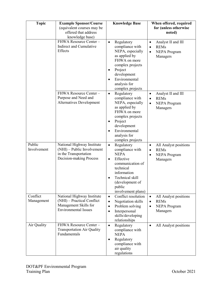| <b>Topic</b>           | <b>Example Sponsor/Course</b><br>(equivalent courses may be<br>offered that address<br>knowledge base)           | <b>Knowledge Base</b>                                                                                                                                                                                                        | When offered, required<br>for (unless otherwise<br>noted)                                                   |
|------------------------|------------------------------------------------------------------------------------------------------------------|------------------------------------------------------------------------------------------------------------------------------------------------------------------------------------------------------------------------------|-------------------------------------------------------------------------------------------------------------|
|                        | FHWA Resource Center-<br>Indirect and Cumulative<br><b>Effects</b>                                               | Regulatory<br>$\bullet$<br>compliance with<br>NEPA, especially<br>as applied by<br>FHWA on more<br>complex projects<br>Project<br>$\bullet$<br>development<br>Environmental<br>$\bullet$<br>analysis for<br>complex projects | Analyst II and III<br>$\bullet$<br><b>REMs</b><br>$\bullet$<br><b>NEPA</b> Program<br>$\bullet$<br>Managers |
|                        | FHWA Resource Center-<br>Purpose and Need and<br>Alternatives Development                                        | Regulatory<br>$\bullet$<br>compliance with<br>NEPA, especially<br>as applied by<br>FHWA on more<br>complex projects<br>Project<br>$\bullet$<br>development<br>Environmental<br>$\bullet$<br>analysis for<br>complex projects | Analyst II and III<br>$\bullet$<br><b>REMs</b><br>$\bullet$<br><b>NEPA</b> Program<br>$\bullet$<br>Managers |
| Public<br>Involvement  | National Highway Institute<br>(NHI) – Public Involvement<br>in the Transportation<br>Decision-making Process     | Regulatory<br>$\bullet$<br>compliance with<br><b>NEPA</b><br>Effective<br>$\bullet$<br>communication of<br>technical<br>information<br>Technical skill<br>(development of<br>public<br>involvement plans)                    | All Analyst positions<br>$\bullet$<br><b>REMs</b><br>$\bullet$<br><b>NEPA</b> Program<br>٠<br>Managers      |
| Conflict<br>Management | National Highway Institute<br>(NHI) - Practical Conflict<br>Management Skills for<br><b>Environmental Issues</b> | Conflict resolution<br>$\bullet$<br>Negotiation skills<br>$\bullet$<br>Problem solving<br>$\bullet$<br>Interpersonal<br>$\bullet$<br>skills/developing<br>relationships                                                      | All Analyst positions<br>$\bullet$<br><b>REMs</b><br>$\bullet$<br><b>NEPA</b> Program<br>٠<br>Managers      |
| Air Quality            | FHWA Resource Center-<br><b>Transportation Air Quality</b><br>Fundamentals                                       | Regulatory<br>$\bullet$<br>compliance with<br><b>NEPA</b><br>Regulatory<br>$\bullet$<br>compliance with<br>air quality<br>regulations                                                                                        | All Analyst positions<br>$\bullet$                                                                          |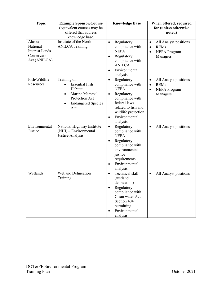| <b>Topic</b>                                                                | <b>Example Sponsor/Course</b><br>(equivalent courses may be<br>offered that address<br>knowledge base)                               | <b>Knowledge Base</b>                                                                                                                                                                                           | When offered, required<br>for (unless otherwise<br>noted)                                                      |
|-----------------------------------------------------------------------------|--------------------------------------------------------------------------------------------------------------------------------------|-----------------------------------------------------------------------------------------------------------------------------------------------------------------------------------------------------------------|----------------------------------------------------------------------------------------------------------------|
| Alaska<br>National<br><b>Interest Lands</b><br>Conservation<br>Act (ANILCA) | Institute of the North $-$<br><b>ANILCA Training</b>                                                                                 | Regulatory<br>$\bullet$<br>compliance with<br><b>NEPA</b><br>Regulatory<br>$\bullet$<br>compliance with<br><b>ANILCA</b><br>Environmental<br>$\bullet$<br>analysis                                              | All Analyst positions<br>$\bullet$<br><b>REMs</b><br>$\bullet$<br><b>NEPA</b> Program<br>$\bullet$<br>Managers |
| Fish/Wildlife<br>Resources                                                  | Training on:<br><b>Essential Fish</b><br>Habitat<br>Marine Mammal<br>$\bullet$<br>Protection Act<br><b>Endangered Species</b><br>Act | Regulatory<br>$\bullet$<br>compliance with<br><b>NEPA</b><br>Regulatory<br>$\bullet$<br>compliance with<br>federal laws<br>related to fish and<br>wildlife protection<br>Environmental<br>$\bullet$<br>analysis | All Analyst positions<br>$\bullet$<br><b>REMs</b><br>$\bullet$<br><b>NEPA</b> Program<br>$\bullet$<br>Managers |
| Environmental<br>Justice                                                    | National Highway Institute<br>(NHI) - Environmental<br>Justice Analysis                                                              | Regulatory<br>$\bullet$<br>compliance with<br><b>NEPA</b><br>Regulatory<br>$\bullet$<br>compliance with<br>environmental<br>justice<br>requirements<br>Environmental<br>$\bullet$<br>analysis                   | All Analyst positions<br>$\bullet$                                                                             |
| Wetlands                                                                    | <b>Wetland Delineation</b><br>Training                                                                                               | Technical skill<br>$\bullet$<br>(wetland<br>delineation)<br>Regulatory<br>$\bullet$<br>compliance with<br>Clean water Act<br>Section 404<br>permitting<br>Environmental<br>analysis                             | All Analyst positions<br>$\bullet$                                                                             |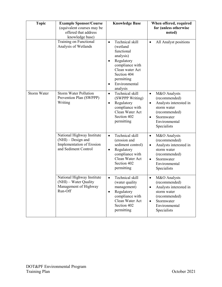| <b>Topic</b>       | <b>Example Sponsor/Course</b><br>(equivalent courses may be<br>offered that address<br>knowledge base)  | <b>Knowledge Base</b>                                                                                                                                                                                       | When offered, required<br>for (unless otherwise<br>noted)                                                                                                                    |
|--------------------|---------------------------------------------------------------------------------------------------------|-------------------------------------------------------------------------------------------------------------------------------------------------------------------------------------------------------------|------------------------------------------------------------------------------------------------------------------------------------------------------------------------------|
|                    | Training on Functional<br>Analysis of Wetlands                                                          | Technical skill<br>$\bullet$<br>(wetland<br>functional<br>analysis)<br>Regulatory<br>$\bullet$<br>compliance with<br>Clean water Act<br>Section 404<br>permitting<br>Environmental<br>$\bullet$<br>analysis | All Analyst positions<br>$\bullet$                                                                                                                                           |
| <b>Storm Water</b> | <b>Storm Water Pollution</b><br>Prevention Plan (SWPPP)<br>Writing                                      | Technical skill<br>$\bullet$<br>(SWPPP Writing)<br>Regulatory<br>$\bullet$<br>compliance with<br>Clean Water Act<br>Section 402<br>permitting                                                               | M&O Analysts<br>$\bullet$<br>(recommended)<br>Analysts interested in<br>$\bullet$<br>storm water<br>(recommended)<br>Stormwater<br>$\bullet$<br>Environmental<br>Specialists |
|                    | National Highway Institute<br>$(NHI)$ – Design and<br>Implementation of Erosion<br>and Sediment Control | Technical skill<br>$\bullet$<br>(erosion and<br>sediment control)<br>Regulatory<br>$\bullet$<br>compliance with<br>Clean Water Act<br>Section 402<br>permitting                                             | M&O Analysts<br>$\bullet$<br>(recommended)<br>Analysts interested in<br>$\bullet$<br>storm water<br>(recommended)<br>Stormwater<br>$\bullet$<br>Environmental<br>Specialists |
|                    | National Highway Institute<br>(NHI) – Water Quality<br>Management of Highway<br>Run-Off                 | Technical skill<br>$\bullet$<br>(water quality<br>management)<br>Regulatory<br>$\bullet$<br>compliance with<br>Clean Water Act<br>Section 402<br>permitting                                                 | M&O Analysts<br>$\bullet$<br>(recommended)<br>Analysts interested in<br>$\bullet$<br>storm water<br>(recommended)<br>Stormwater<br>$\bullet$<br>Environmental<br>Specialists |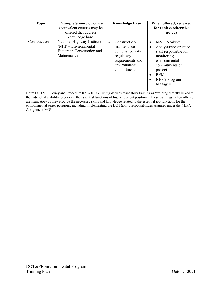| <b>Topic</b> | <b>Example Sponsor/Course</b><br>(equivalent courses may be<br>offered that address<br>knowledge base) | <b>Knowledge Base</b>                                                                                                          | When offered, required<br>for (unless otherwise<br>noted)                                                                                                                        |
|--------------|--------------------------------------------------------------------------------------------------------|--------------------------------------------------------------------------------------------------------------------------------|----------------------------------------------------------------------------------------------------------------------------------------------------------------------------------|
| Construction | National Highway Institute<br>(NHI) – Environmental<br>Factors in Construction and<br>Maintenance      | Construction/<br>$\bullet$<br>maintenance<br>compliance with<br>regulatory<br>requirements and<br>environmental<br>commitments | M&O Analysts<br>٠<br>Analysts/construction<br>staff responsible for<br>monitoring<br>environmental<br>commitments on<br>projects<br><b>REMs</b><br>٠<br>NEPA Program<br>Managers |

Note: DOT&PF Policy and Procedure 02.04.010 *Training* defines mandatory training as "training directly linked to the individual's ability to perform the essential functions of his/her current position." These trainings, when offered, are mandatory as they provide the necessary skills and knowledge related to the essential job functions for the environmental series positions, including implementing the DOT&PF's responsibilities assumed under the NEPA Assignment MOU.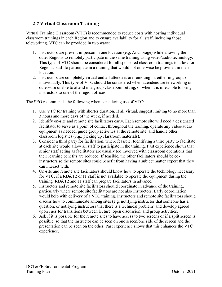#### <span id="page-16-0"></span>**2.7 Virtual Classroom Training**

Virtual Training Classroom (VTC) is recommended to reduce costs with hosting individual classroom trainings in each Region and to ensure availability for all staff, including those teleworking. VTC can be provided in two ways:

- 1. Instructors are present in-person in one location (e.g. Anchorage) while allowing the other Regions to remotely participate in the same training using video/audio technology. This type of VTC should be considered for all sponsored classroom trainings to allow for Regional staff to participate in a training that would not otherwise be provided in their location.
- 2. Instructors are completely virtual and all attendees are remoting in, either in groups or individually. This type of VTC should be considered when attendees are teleworking or otherwise unable to attend in a group classroom setting, or when it is infeasible to bring instructors to one of the region offices.

The SEO recommends the following when considering use of VTC:

- 1. Use VTC for training with shorter duration. If all virtual, suggest limiting to no more than 3 hours and more days of the week, if needed.
- 2. Identify on-site and remote site facilitators early. Each remote site will need a designated facilitator to serve as a point of contact throughout the training, operate any video/audio equipment as needed, guide group activities at the remote site, and handle other classroom logistics (e.g., picking up classroom materials).
- 3. Consider a third party for facilitation, where feasible. Identifying a third party to facilitate at each site would allow all staff to participate in the training. Past experience shows that senior staff acting as facilitators are usually too involved with classroom operations that their learning benefits are reduced. If feasible, the other facilitators should be coinstructors so the remote sites could benefit from having a subject matter expert that they can interact with.
- 4. On-site and remote site facilitators should know how to operate the technology necessary for VTC, if a RD&T2 or IT staff is not available to operate the equipment during the training. RD&T2 and IT staff can prepare facilitators in advance.
- 5. Instructors and remote site facilitators should coordinate in advance of the training, particularly where remote site facilitators are not also Instructors. Early coordination would help with delivery of a VTC training. Instructors and remote site facilitators should discuss how to communicate among sites (e.g. notifying instructor that someone has a question, or notifying instructors that there is a technical problem) and develop agreed upon cues for transitions between lecture, open discussion, and group activities.
- 6. Ask if it is possible for the remote sites to have access to two screens or if a split screen is possible, so that the instructor can be seen on one screen/one side of the screen and the presentation can be seen on the other. Past experience shows that this enhances the VTC experience.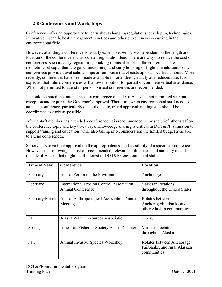#### <span id="page-17-0"></span>**2.8 Conferences and Workshops**

Conferences offer an opportunity to learn about changing regulations, developing technologies, innovative research, best management practices and other current news occurring in the environmental field.

However, attending a conference is usually expensive, with costs dependent on the length and location of the conference and associated registration fees. There are ways to reduce the cost of conferences, such as early registration, booking rooms at hotels at the conference rate (sometimes cheaper than the government rate), and early booking of flights. In addition, some conferences provide travel scholarships or reimburse travel costs up to a specified amount. More recently, conferences have been made available for attendees virtually at a reduced rate. It is expected that future conferences will allow the option for partial or complete virtual attendance. When not permitted to attend in-person, virtual conferences are recommended.

It should be noted that attendance at a conference outside of Alaska is not permitted without exception and requires the Governor's approval. Therefore, when environmental staff need to attend a conference, particularly one out of state, travel approval and logistics should be coordinated as early as possible.

After a staff member has attended a conference, it is recommended he or she brief other staff on the conference topic and key takeaways. Knowledge sharing is critical in DOT&PF's mission to support training and education while also taking into consideration the limited budget available to attend conferences.

Supervisors have final approval on the appropriateness and feasibility of a specific conference. However, the following is a list of recommended, relevant conferences held annually in and outside of Alaska that might be of interest to DOT&PF environmental staff:

| <b>Time of Year</b> | Conference                                                            | Location                                                                  |
|---------------------|-----------------------------------------------------------------------|---------------------------------------------------------------------------|
| February            | Alaska Forum on the Environment                                       | Anchorage                                                                 |
| February            | International Erosion Control Association<br><b>Annual Conference</b> | Varies in locations<br>throughout the United States                       |
| February/March      | Alaska Anthropological Association Annual<br>Meeting                  | Rotates between<br>Anchorage/Fairbanks and<br>other Alaskan communities   |
| Fall                | Alaska Water Resources Association                                    | Juneau                                                                    |
| Spring              | American Fisheries Society Alaska Chapter                             | Varies in locations<br>throughout Alaska                                  |
| Fall                | Annual Invasive Species Workshop                                      | Rotates between Anchorage,<br>Fairbanks, and rural Alaskan<br>communities |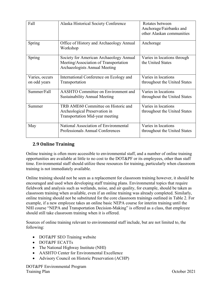| Fall                           | Alaska Historical Society Conference                                                                              | Rotates between<br>Anchorage/Fairbanks and<br>other Alaskan communities |
|--------------------------------|-------------------------------------------------------------------------------------------------------------------|-------------------------------------------------------------------------|
| Spring                         | Office of History and Archaeology Annual<br>Workshop                                                              | Anchorage                                                               |
| Spring                         | Society for American Archaeology Annual<br>Meeting/Association of Transportation<br>Archaeologists Annual Meeting | Varies in locations through<br>the United States                        |
| Varies, occurs<br>on odd years | International Conference on Ecology and<br>Transportation                                                         | Varies in locations<br>throughout the United States                     |
| Summer/Fall                    | AASHTO Committee on Environment and<br><b>Sustainability Annual Meeting</b>                                       | Varies in locations<br>throughout the United States                     |
| Summer                         | TRB AME60 Committee on Historic and<br>Archeological Preservation in<br>Transportation Mid-year meeting           | Varies in locations<br>throughout the United States                     |
| May                            | National Association of Environmental<br>Professionals Annual Conferences                                         | Varies in locations<br>throughout the United States                     |

#### <span id="page-18-0"></span>**2.9 Online Training**

Online training is often more accessible to environmental staff, and a number of online training opportunities are available at little to no cost to the DOT&PF or its employees, other than staff time. Environmental staff should utilize these resources for training, particularly when classroom training is not immediately available.

Online training should not be seen as a replacement for classroom training however, it should be encouraged and used when developing staff training plans. Environmental topics that require fieldwork and analysis such as wetlands, noise, and air quality, for example, should be taken as classroom training when available, even if an online training was already completed. Similarly, online training should not be substituted for the core classroom trainings outlined in Table 2. For example, if a new employee takes an online basic NEPA course for interim training until the NHI course "NEPA and Transportation Decision-Making" is offered as a class, that employee should still take classroom training when it is offered.

Sources of online training relevant to environmental staff include, but are not limited to, the following:

- DOT&PF SEO Training website
- DOT&PF ECATTs
- The National Highway Institute (NHI)
- AASHTO Center for Environmental Excellence
- Advisory Council on Historic Preservation (ACHP)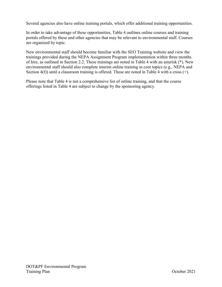Several agencies also have online training portals, which offer additional training opportunities.

In order to take advantage of these opportunities, Table 4 outlines online courses and training portals offered by these and other agencies that may be relevant to environmental staff. Courses are organized by topic.

New environmental staff should become familiar with the SEO Training website and view the trainings provided during the NEPA Assignment Program implementation within three months of hire, as outlined in Section 2.2. These trainings are noted in Table 4 with an asterisk (\*). New environmental staff should also complete interim online training in core topics (e.g., NEPA and Section 4(f)) until a classroom training is offered. These are noted in Table 4 with a cross (+).

Please note that Table 4 is not a comprehensive list of online training, and that the course offerings listed in Table 4 are subject to change by the sponsoring agency.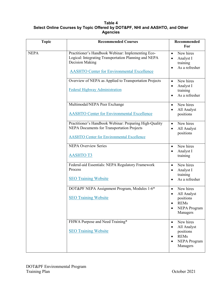#### **Table 4 Select Online Courses by Topic Offered by DOT&PF, NHI and AASHTO, and Other Agencies**

| <b>Topic</b> | <b>Recommended Courses</b>                                                                                                                                                          | Recommended<br>For                                                                                                                          |
|--------------|-------------------------------------------------------------------------------------------------------------------------------------------------------------------------------------|---------------------------------------------------------------------------------------------------------------------------------------------|
| <b>NEPA</b>  | Practitioner's Handbook Webinar: Implementing Eco-<br>Logical: Integrating Transportation Planning and NEPA<br>Decision Making<br><b>AASHTO Center for Environmental Excellence</b> | New hires<br>$\bullet$<br>Analyst I<br>$\bullet$<br>training<br>As a refresher<br>$\bullet$                                                 |
|              | Overview of NEPA as Applied to Transportation Projects<br><b>Federal Highway Administration</b>                                                                                     | New hires<br>$\bullet$<br>Analyst I<br>$\bullet$<br>training<br>As a refresher                                                              |
|              | Multimodal/NEPA Peer Exchange<br><b>AASHTO Center for Environmental Excellence</b>                                                                                                  | New hires<br>$\bullet$<br>All Analyst<br>$\bullet$<br>positions                                                                             |
|              | Practitioner's Handbook Webinar: Preparing High-Quality<br><b>NEPA Documents for Transportation Projects</b><br><b>AASHTO Center for Environmental Excellence</b>                   | New hires<br>$\bullet$<br>All Analyst<br>$\bullet$<br>positions                                                                             |
|              | <b>NEPA Overview Series</b><br><b>AASHTOT3</b>                                                                                                                                      | New hires<br>$\bullet$<br>Analyst I<br>training                                                                                             |
|              | Federal-aid Essentials: NEPA Regulatory Framework<br>Process<br><b>SEO Training Website</b>                                                                                         | New hires<br>$\bullet$<br>Analyst I<br>$\bullet$<br>training<br>As a refresher                                                              |
|              | DOT&PF NEPA Assignment Program, Modules 1-6*<br><b>SEO Training Website</b>                                                                                                         | New hires<br>$\bullet$<br>All Analyst<br>positions<br><b>REMs</b><br>$\bullet$<br><b>NEPA Program</b><br>Managers                           |
|              | FHWA Purpose and Need Training*<br><b>SEO Training Website</b>                                                                                                                      | New hires<br>$\bullet$<br>All Analyst<br>$\bullet$<br>positions<br><b>REMs</b><br>$\bullet$<br><b>NEPA Program</b><br>$\bullet$<br>Managers |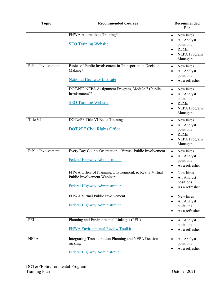| <b>Topic</b>       | <b>Recommended Courses</b>                                                                                                     | Recommended<br>For                                                                                                      |
|--------------------|--------------------------------------------------------------------------------------------------------------------------------|-------------------------------------------------------------------------------------------------------------------------|
|                    | FHWA Alternatives Training*<br><b>SEO Training Website</b>                                                                     | New hires<br>$\bullet$<br>All Analyst<br>positions<br><b>REMs</b><br>$\bullet$<br><b>NEPA</b> Program<br>Managers       |
| Public Involvement | Basics of Public Involvement in Transportation Decision<br>Making+<br><b>National Highway Institute</b>                        | New hires<br>$\bullet$<br>All Analyst<br>$\bullet$<br>positions<br>As a refresher                                       |
|                    | DOT&PF NEPA Assignment Program, Module 7 (Public<br>Involvement)*<br><b>SEO Training Website</b>                               | New hires<br>$\bullet$<br>All Analyst<br>$\bullet$<br>positions<br><b>REMs</b><br>$\bullet$<br>NEPA Program<br>Managers |
| Title VI           | DOT&PF Title VI Basic Training<br>DOT&PF Civil Rights Office                                                                   | New hires<br>$\bullet$<br>All Analyst<br>positions<br><b>REMs</b><br>$\bullet$<br><b>NEPA Program</b><br>Managers       |
| Public Involvement | Every Day Counts Orientation - Virtual Public Involvement<br>Federal Highway Administration                                    | New hires<br>$\bullet$<br>All Analyst<br>$\bullet$<br>positions<br>As a refresher                                       |
|                    | FHWA Office of Planning, Environment, & Realty Virtual<br>Public Involvement Webinars<br><b>Federal Highway Administration</b> | New hires<br>$\bullet$<br>All Analyst<br>$\bullet$<br>positions<br>As a refresher<br>$\bullet$                          |
|                    | FHWA Virtual Public Involvement<br><b>Federal Highway Administration</b>                                                       | New hires<br>$\bullet$<br>All Analyst<br>٠<br>positions<br>As a refresher                                               |
| <b>PEL</b>         | Planning and Environmental Linkages (PEL)<br><b>FHWA Environmental Review Toolkit</b>                                          | All Analyst<br>$\bullet$<br>positions<br>As a refresher<br>$\bullet$                                                    |
| <b>NEPA</b>        | Integrating Transportation Planning and NEPA Decsion-<br>making<br><b>Federal Highway Administration</b>                       | All Analyst<br>$\bullet$<br>positions<br>As a refresher<br>$\bullet$                                                    |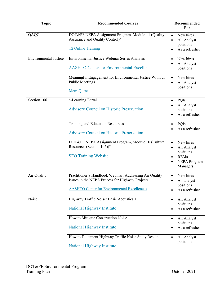| <b>Topic</b>                 | <b>Recommended Courses</b>                                                                                                                                       | Recommended<br>For                                                                                                |
|------------------------------|------------------------------------------------------------------------------------------------------------------------------------------------------------------|-------------------------------------------------------------------------------------------------------------------|
| QAQC                         | DOT&PF NEPA Assignment Program, Module 11 (Quality<br>Assurance and Quality Control)*<br><b>T2 Online Training</b>                                               | New hires<br>$\bullet$<br>All Analyst<br>positions<br>As a refresher<br>$\bullet$                                 |
| <b>Environmental Justice</b> | Environmental Justice Webinar Series Analysis<br><b>AASHTO Center for Environmental Excellence</b>                                                               | New hires<br>$\bullet$<br>All Analyst<br>positions                                                                |
|                              | Meaningful Engagement for Environmental Justice Without<br><b>Public Meetings</b><br><b>MetroQuest</b>                                                           | New hires<br>$\bullet$<br>All Analyst<br>positions                                                                |
| Section 106                  | e-Learning Portal<br><b>Advisory Council on Historic Preservation</b>                                                                                            | PQIs<br>All Analyst<br>positions<br>As a refresher                                                                |
|                              | Training and Education Resources<br><b>Advisory Council on Historic Preservation</b>                                                                             | PQIs<br>$\bullet$<br>As a refresher                                                                               |
|                              | DOT&PF NEPA Assignment Program, Module 10 (Cultural<br>Resources (Section 106))*<br><b>SEO Training Website</b>                                                  | New hires<br>$\bullet$<br>All Analyst<br>$\bullet$<br>positions<br><b>REMs</b><br><b>NEPA Program</b><br>Managers |
| Air Quality                  | Practitioner's Handbook Webinar: Addressing Air Quality<br>Issues in the NEPA Process for Highway Projects<br><b>AASHTO Center for Environmental Excellences</b> | New hires<br>All analyst<br>$\bullet$<br>positions<br>As a refresher                                              |
| Noise                        | Highway Traffic Noise: Basic Acoustics +<br><b>National Highway Institute</b>                                                                                    | All Analyst<br>$\bullet$<br>positions<br>As a refresher<br>$\bullet$                                              |
|                              | How to Mitigate Construction Noise<br><b>National Highway Institute</b>                                                                                          | All Analyst<br>$\bullet$<br>positions<br>As a refresher<br>$\bullet$                                              |
|                              | How to Document Highway Traffic Noise Study Results<br><b>National Highway Institute</b>                                                                         | All Analyst<br>$\bullet$<br>positions                                                                             |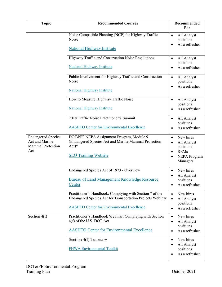| <b>Topic</b>                                                                   | <b>Recommended Courses</b>                                                                                                                                                  | <b>Recommended</b><br>For                                                                                               |
|--------------------------------------------------------------------------------|-----------------------------------------------------------------------------------------------------------------------------------------------------------------------------|-------------------------------------------------------------------------------------------------------------------------|
|                                                                                | Noise Compatible Planning (NCP) for Highway Traffic<br>Noise<br><b>National Highway Institute</b>                                                                           | All Analyst<br>$\bullet$<br>positions<br>As a refresher<br>$\bullet$                                                    |
|                                                                                | Highway Traffic and Construction Noise Regulations<br><b>National Highway Institute</b>                                                                                     | All Analyst<br>$\bullet$<br>positions<br>As a refresher                                                                 |
|                                                                                | Public Involvement for Highway Traffic and Construction<br>Noise<br>National Highway Institute                                                                              | All Analyst<br>$\bullet$<br>positions<br>As a refresher<br>$\bullet$                                                    |
|                                                                                | How to Measure Highway Traffic Noise<br><b>National Highway Institute</b>                                                                                                   | All Analyst<br>$\bullet$<br>positions<br>As a refresher                                                                 |
|                                                                                | 2018 Traffic Noise Practitioner's Summit<br><b>AASHTO Center for Environmental Excellence</b>                                                                               | All Analyst<br>٠<br>positions<br>As a refresher                                                                         |
| <b>Endangered Species</b><br>Act and Marine<br><b>Mammal Protection</b><br>Act | DOT&PF NEPA Assignment Program, Module 9<br>(Endangered Species Act and Marine Mammal Protection<br>$Act)*$<br><b>SEO Training Website</b>                                  | New hires<br>$\bullet$<br>All Analyst<br>$\bullet$<br>positions<br><b>REMs</b><br>$\bullet$<br>NEPA Program<br>Managers |
|                                                                                | Endangered Species Act of 1973 - Overview<br>Bureau of Land Management Knowledge Resource<br>Center                                                                         | New hires<br>$\bullet$<br>All Analyst<br>$\bullet$<br>positions<br>As a refresher<br>$\bullet$                          |
|                                                                                | Practitioner's Handbook: Complying with Section 7 of the<br>Endangered Species Act for Transportation Projects Webinar<br><b>AASHTO Center for Environmental Excellence</b> | New hires<br>$\bullet$<br>All Analyst<br>$\bullet$<br>positions<br>As a refresher<br>$\bullet$                          |
| Section $4(f)$                                                                 | Practitioner's Handbook Webinar: Complying with Section<br>4(f) of the U.S. DOT Act<br><b>AASHTO Center for Environmental Excellence</b>                                    | New hires<br>$\bullet$<br>All Analyst<br>$\bullet$<br>positions<br>As a refresher<br>$\bullet$                          |
|                                                                                | Section 4(f) Tutorial+<br><b>FHWA Environmental Toolkit</b>                                                                                                                 | New hires<br>$\bullet$<br>All Analyst<br>$\bullet$<br>positions<br>As a refresher                                       |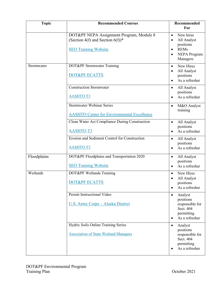| <b>Topic</b> | <b>Recommended Courses</b>                                                                                               | Recommended<br>For                                                                                                                          |
|--------------|--------------------------------------------------------------------------------------------------------------------------|---------------------------------------------------------------------------------------------------------------------------------------------|
|              | DOT&PF NEPA Assignment Program, Module 8<br>(Section 4(f) and Section $6(f)$ <sup>*</sup><br><b>SEO Training Website</b> | New hires<br>$\bullet$<br>All Analyst<br>$\bullet$<br>positions<br><b>REMs</b><br>$\bullet$<br><b>NEPA Program</b><br>$\bullet$<br>Managers |
| Stormwater   | DOT&PF Stormwater Training<br>DOT&PF ECATTS                                                                              | New Hires<br>$\bullet$<br>All Analyst<br>$\bullet$<br>positions<br>As a refresher<br>$\bullet$                                              |
|              | <b>Construction Stormwater</b><br><b>AASHTO T3</b>                                                                       | All Analyst<br>$\bullet$<br>positions<br>As a refresher<br>$\bullet$                                                                        |
|              | <b>Stormwater Webinar Series</b><br><b>AASHTO Center for Environmental Excellence</b>                                    | M&O Analyst<br>$\bullet$<br>training                                                                                                        |
|              | Clean Water Act Compliance During Construction<br><b>AASHTOT3</b>                                                        | All Analyst<br>$\bullet$<br>positions<br>As a refresher<br>$\bullet$                                                                        |
|              | Erosion and Sediment Control for Construction<br><b>AASHTOT3</b>                                                         | All Analyst<br>$\bullet$<br>positions<br>As a refresher                                                                                     |
| Floodplains  | DOT&PF Floodplains and Transportation 2020<br><b>SEO Training Website</b>                                                | All Analyst<br>$\bullet$<br>positions<br>As a refresher<br>$\bullet$                                                                        |
| Wetlands     | DOT&PF Wetlands Training<br><b>DOT&amp;PF ECATTS</b>                                                                     | New Hires<br>$\bullet$<br>All Analyst<br>positions<br>As a refresher<br>$\bullet$                                                           |
|              | Permit Instructional Video<br>U.S. Army Corps - Alaska District                                                          | Analyst<br>$\bullet$<br>positions<br>responsible for<br>Sect. 404<br>permitting<br>As a refresher<br>$\bullet$                              |
|              | Hydric Soils Online Training Series<br><b>Association of State Wetland Managers</b>                                      | Analyst<br>$\bullet$<br>positions<br>responsible for<br>Sect. 404<br>permitting<br>As a refresher                                           |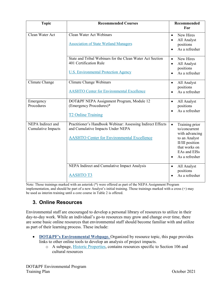| <b>Topic</b>                            | <b>Recommended Courses</b>                                                                                                                            | <b>Recommended</b><br>For                                                                                                                                          |
|-----------------------------------------|-------------------------------------------------------------------------------------------------------------------------------------------------------|--------------------------------------------------------------------------------------------------------------------------------------------------------------------|
| Clean Water Act                         | Clean Water Act Webinars<br><b>Association of State Wetland Managers</b>                                                                              | New Hires<br>$\bullet$<br>All Analyst<br>$\bullet$<br>positions<br>As a refresher                                                                                  |
|                                         | State and Tribal Webinars for the Clean Water Act Section<br>401 Certification Rule<br><b>U.S. Environmental Protection Agency</b>                    | New Hires<br>$\bullet$<br>All Analyst<br>$\bullet$<br>positions<br>As a refresher                                                                                  |
| Climate Change                          | Climate Change Webinars<br><b>AASHTO Center for Environmental Excellence</b>                                                                          | All Analyst<br>$\bullet$<br>positions<br>As a refresher<br>$\bullet$                                                                                               |
| Emergency<br>Procedures                 | DOT&PF NEPA Assignment Program, Module 12<br>(Emergency Procedures)*<br><b>T2 Online Training</b>                                                     | All Analyst<br>$\bullet$<br>positions<br>As a refresher<br>$\bullet$                                                                                               |
| NEPA Indirect and<br>Cumulative Impacts | Practitioner's Handbook Webinar: Assessing Indirect Effects<br>and Cumulative Impacts Under NEPA<br><b>AASHTO Center for Environmental Excellence</b> | Training prior<br>$\bullet$<br>to/concurrent<br>with advancing<br>to an Analyst<br>II/III position<br>that works on<br>EAs and EISs<br>As a refresher<br>$\bullet$ |
|                                         | NEPA Indirect and Cumulative Impact Analysis<br><b>AASHTOT3</b>                                                                                       | All Analyst<br>$\bullet$<br>positions<br>As a refresher                                                                                                            |

Note: Those trainings marked with an asterisk (\*) were offered as part of the NEPA Assignment Program implementation, and should be part of a new Analyst's initial training. Those trainings marked with a cross (+) may be used as interim training until a core course in Table 2 is offered.

#### <span id="page-25-0"></span>**3. Online Resources**

Environmental staff are encouraged to develop a personal library of resources to utilize in their day-to-day work. While an individual's go-to resources may grow and change over time, there are some basic online resources that environmental staff should become familiar with and utilize as part of their learning process. These include:

- **[DOT&PF's Environmental Webpage.](http://www.dot.state.ak.us/stwddes/desenviron/index.shtml)** Organized by resource topic, this page provides links to other online tools to develop an analysis of project impacts.
	- o A subpage, [Historic Properties,](https://dot.alaska.gov/stwddes/desenviron/resources/historicproperties.shtml) contains resources specific to Section 106 and cultural resources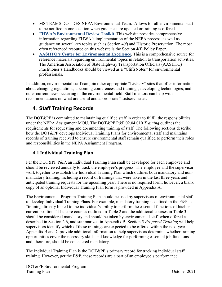- MS TEAMS DOT DES NEPA Environmental Team. Allows for all environmental staff to be notified in one location when guidance are updated or training is offered.
- **[FHWA's Environmental Review Toolkit](http://www.environment.fhwa.dot.gov/index.asp)**. This website provides comprehensive information regarding FHWA's implementation of the NEPA process, as well as guidance on several key topics such as Section 4(f) and Historic Preservation. The most often referenced resource on this website is the Section 4(f) Policy Paper.
- **[AASHTO's Center for Environmental Excellence](http://environment.transportation.org/)**. This is a comprehensive source for reference materials regarding environmental topics in relation to transportation activities. The American Association of State Highway Transportation Officials (AASHTO) Practitioner's Handbooks should be viewed as a "CliffsNotes" for environmental professionals.

In addition, environmental staff can join other appropriate "Listserv" sites that offer information about changing regulations, upcoming conferences and trainings, developing technologies, and other current news occurring in the environmental field. Staff mentors can help with recommendations on what are useful and appropriate "Listserv" sites.

#### <span id="page-26-0"></span>**4. Staff Training Records**

The DOT&PF is committed to maintaining qualified staff in order to fulfill the responsibilities under the NEPA Assignment MOU. The DOT&PF P&P 02.04.010 *Training* outlines the requirements for requesting and documenting training of staff. The following sections describe how the DOT&PF develops Individual Training Plans for environmental staff and maintains records of training received to ensure environmental staff remain qualified to perform their roles and responsibilities in the NEPA Assignment Program.

#### <span id="page-26-1"></span>**4.1 Individual Training Plan**

Per the DOT&PF P&P, an Individual Training Plan shall be developed for each employee and should be reviewed annually to track the employee's progress. The employee and the supervisor work together to establish the Individual Training Plan which outlines both mandatory and nonmandatory training, including a record of trainings that were taken in the last three years and anticipated training requests for the upcoming year. There is no required form; however, a blank copy of an optional Individual Training Plan form is provided in Appendix A.

The Environmental Program Training Plan should be used by supervisors of environmental staff to develop Individual Training Plans. For example, mandatory training is defined in the P&P as "training directly linked to the individual's ability to perform the essential functions of his/her current position." The core courses outlined in Table 2 and the additional courses in Table 3 should be considered mandatory and should be taken by environmental staff when offered as described in Section 2.6, and summarized in Appendix B. Section 5 *Proposed Training* will help supervisors identify which of these trainings are expected to be offered within the next year. Appendix B and C provide additional information to help supervisors determine whether training opportunities cover the necessary skills and knowledge for performing essential job functions and, therefore, should be considered mandatory.

The Individual Training Plan is the DOT&PF's primary record for tracking individual staff training. However, per the P&P, these records are a part of an employee's performance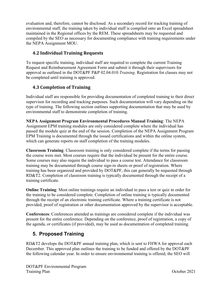evaluation and, therefore, cannot be disclosed. As a secondary record for tracking training of environmental staff, the training taken by individual staff is compiled onto an Excel spreadsheet maintained in the Regional offices by the REM. These spreadsheets may be requested and compiled by the SEO as necessary for documenting compliance with training requirements under the NEPA Assignment MOU.

#### <span id="page-27-0"></span>**4.2 Individual Training Requests**

To request specific training, individual staff are required to complete the current Training Request and Reimbursement Agreement Form and submit it through their supervisors for approval as outlined in the DOT&PF P&P 02.04.010 *Training*. Registration for classes may not be completed until training is approved.

#### <span id="page-27-1"></span>**4.3 Completion of Training**

Individual staff are responsible for providing documentation of completed training to their direct supervisor for recording and tracking purposes. Such documentation will vary depending on the type of training. The following section outlines supporting documentation that may be used by environmental staff to demonstrate completion of training.

**NEPA Assignment Program Environmental Procedures Manual Training**: The NEPA Assignment EPM training modules are only considered complete where the individual has passed the module quiz at the end of the session. Completion of the NEPA Assignment Program EPM Training is documented through the issued certifications and within the online system, which can generate reports on staff completion of the training modules.

**Classroom Training**: Classroom training is only considered complete if the terms for passing the course were met. Most courses require that the individual be present for the entire course. Some courses may also require the individual to pass a course test. Attendance for classroom training may be documented through course sign-in sheets or proof of registration. Where training has been organized and provided by DOT&PF, this can generally be requested through RD&T2. Completion of classroom training is typically documented through the receipt of a training certificate.

**Online Training**: Most online trainings require an individual to pass a test or quiz in order for the training to be considered complete. Completion of online training is typically documented through the receipt of an electronic training certificate. Where a training certificate is not provided, proof of registration or other documentation approved by the supervisor is acceptable.

**Conferences**: Conferences attended as trainings are considered complete if the individual was present for the entire conference. Depending on the conference, proof of registration, a copy of the agenda, or certificates (if provided), may be used as documentation of completed training.

#### <span id="page-27-2"></span>**5. Proposed Training**

RD&T2 develops the DOT&PF annual training plan, which is sent to FHWA for approval each December. This approved plan outlines the training to be funded and offered by the DOT&PF the following calendar year. In order to ensure environmental training is offered, the SEO will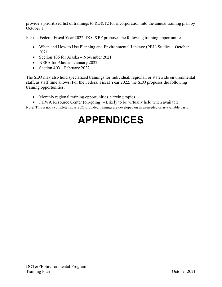provide a prioritized list of trainings to RD&T2 for incorporation into the annual training plan by October 1.

For the Federal Fiscal Year 2022, DOT&PF proposes the following training opportunities:

- When and How to Use Planning and Environmental Linkage (PEL) Studies October 2021
- Section 106 for Alaska November 2021
- NEPA for Alaska January 2022
- Section  $4(f)$  February 2022

The SEO may also hold specialized trainings for individual, regional, or statewide environmental staff, as staff time allows. For the Federal Fiscal Year 2022, the SEO proposes the following training opportunities:

- Monthly regional training opportunities, varying topics
- FHWA Resource Center (on-going) Likely to be virtually held when available

<span id="page-28-0"></span>Note: This is not a complete list as SEO-provided trainings are developed on an as-needed or as-available basis.

## **APPENDICES**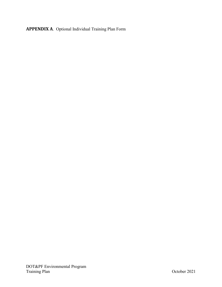<span id="page-29-0"></span>**APPENDIX A**. Optional Individual Training Plan Form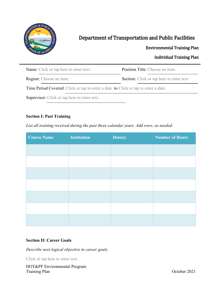

### Department of Transportation and Public Facilities

#### Environmental Training Plan

#### Individual Training Plan

| <b>Name:</b> Click or tap here to enter text.                                       | <b>Position Title:</b> Choose an item.           |  |
|-------------------------------------------------------------------------------------|--------------------------------------------------|--|
| <b>Region:</b> Choose an item.                                                      | <b>Section:</b> Click or tap here to enter text. |  |
| Time Period Covered: Click or tap to enter a date. to Click or tap to enter a date. |                                                  |  |
| <b>Supervisor:</b> Click or tap here to enter text.                                 |                                                  |  |

#### **Section I: Past Training**

*List all training received during the past three calendar years. Add rows, as needed.*

| <b>Course Name</b> | <b>Institution</b> | $\overline{\text{Date}(s)}$ | <b>Number of Hours</b> |
|--------------------|--------------------|-----------------------------|------------------------|
|                    |                    |                             |                        |
|                    |                    |                             |                        |
|                    |                    |                             |                        |
|                    |                    |                             |                        |
|                    |                    |                             |                        |
|                    |                    |                             |                        |
|                    |                    |                             |                        |

#### **Section II: Career Goals**

*Describe next logical objective in career goals.*

Click or tap here to enter text.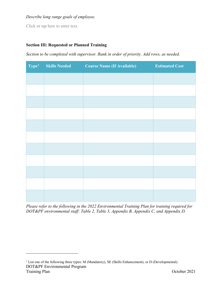#### *Describe long range goals of employee.*

Click or tap here to enter text.

 $\overline{a}$ 

#### **Section III: Requested or Planned Training**

*Section to be completed with supervisor. Rank in order of priority. Add rows, as needed.*

| Type <sup>1</sup> | <b>Skills Needed</b><br><b>Service Service</b> | <b>Course Name (If Available)</b><br><b>Contract Contract Contract Contract Contract Contract Contract Contract Contract Contract Contract Contract Co</b> | <b>Estimated Cost</b> |
|-------------------|------------------------------------------------|------------------------------------------------------------------------------------------------------------------------------------------------------------|-----------------------|
|                   |                                                |                                                                                                                                                            |                       |
|                   |                                                |                                                                                                                                                            |                       |
|                   |                                                |                                                                                                                                                            |                       |
|                   |                                                |                                                                                                                                                            |                       |
|                   |                                                |                                                                                                                                                            |                       |
|                   |                                                |                                                                                                                                                            |                       |
|                   |                                                |                                                                                                                                                            |                       |
|                   |                                                |                                                                                                                                                            |                       |
|                   |                                                |                                                                                                                                                            |                       |
|                   |                                                |                                                                                                                                                            |                       |
|                   |                                                |                                                                                                                                                            |                       |

*Please refer to the following in the 2022 Environmental Training Plan for training required for DOT&PF environmental staff: Table 2, Table 3, Appendix B, Appendix C, and Appendix D.*

<span id="page-31-0"></span>DOT&PF Environmental Program Training Plan October 2021 <sup>1</sup> List one of the following three types: M (Mandatory), SE (Skills Enhancement), or D (Developmental).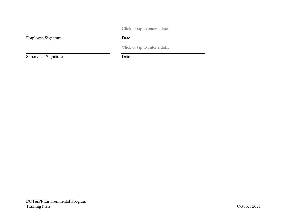Click or tap to enter a date.

Click or tap to enter a date.

Employee Signature Date

Supervisor Signature Date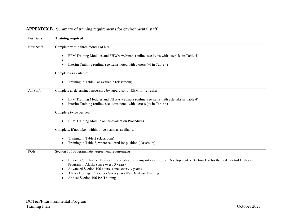<span id="page-33-0"></span>

| <b>Positions</b> | <b>Training required</b>                                                                                                                                                                   |
|------------------|--------------------------------------------------------------------------------------------------------------------------------------------------------------------------------------------|
| New Staff        | Complete within three months of hire:                                                                                                                                                      |
|                  | EPM Training Modules and FHWA webinars (online, see items with asterisks in Table 4)<br>$\bullet$                                                                                          |
|                  | Interim Training (online, see items noted with a cross $(+)$ in Table 4)<br>$\bullet$                                                                                                      |
|                  | Complete as available:                                                                                                                                                                     |
|                  | Training in Table 2 as available (classroom)<br>$\bullet$                                                                                                                                  |
| All Staff        | Complete as determined necessary by supervisor or REM for refresher:                                                                                                                       |
|                  | EPM Training Modules and FHWA webinars (online, see items with asterisks in Table 4)<br>$\bullet$<br>Interim Training (online, see items noted with a cross $(+)$ in Table 4)<br>$\bullet$ |
|                  | Complete twice per year:                                                                                                                                                                   |
|                  | EPM Training Module on Re-evaluation Procedures<br>$\bullet$                                                                                                                               |
|                  | Complete, if not taken within three years, as available:                                                                                                                                   |
|                  | Training in Table 2 (classroom)<br>$\bullet$                                                                                                                                               |
|                  | Training in Table 3, where required for position (classroom)                                                                                                                               |
| PQIs             | Section 106 Programmatic Agreement requirements:                                                                                                                                           |
|                  | Beyond Compliance: Historic Preservation in Transportation Project Development or Section 106 for the Federal-Aid Highway<br>$\bullet$                                                     |
|                  | Program in Alaska (once every 3 years)<br>Advanced Section 106 course (once every 3 years)<br>$\bullet$                                                                                    |
|                  | Alaska Heritage Resources Survey (ARHS) Database Training<br>$\bullet$                                                                                                                     |
|                  | Annual Section 106 PA Training                                                                                                                                                             |

#### **APPENDIX B**. Summary of training requirements for environmental staff.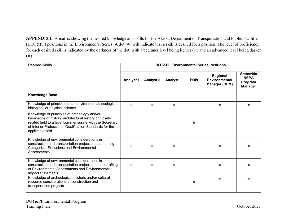**APPENDIX C**. A matrix showing the desired knowledge and skills for the Alaska Department of Transportation and Public Facilities (DOT&PF) positions in the Environmental Series. A dot (●) will indicate that a skill is desired for a position. The level of proficiency for each desired skill is indicated by the darkness of the dot, with a beginner level being lighter ( $\circ$ ) and an advanced level being darker (●).

<span id="page-34-0"></span>

| <b>Desired Skills</b>                                                                                                                                                                                                                               | <b>DOT&amp;PF Environmental Series Positions</b> |                   |                    |             |                                                          |                                                              |  |  |
|-----------------------------------------------------------------------------------------------------------------------------------------------------------------------------------------------------------------------------------------------------|--------------------------------------------------|-------------------|--------------------|-------------|----------------------------------------------------------|--------------------------------------------------------------|--|--|
|                                                                                                                                                                                                                                                     | <b>Analyst I</b>                                 | <b>Analyst II</b> | <b>Analyst III</b> | <b>PQIs</b> | Regional<br><b>Environmental</b><br><b>Manager (REM)</b> | <b>Statewide</b><br><b>NEPA</b><br>Program<br><b>Manager</b> |  |  |
| <b>Knowledge Base</b>                                                                                                                                                                                                                               |                                                  |                   |                    |             |                                                          |                                                              |  |  |
| Knowledge of principles of an environmental, ecological,<br>biological, or physical science.                                                                                                                                                        | $\bigcirc$                                       | $\bullet$         | O                  |             |                                                          |                                                              |  |  |
| Knowledge of principles of archeology and/or<br>knowledge of history, architectural history or closely<br>related field to a level commensurate with the Secretary<br>of Interior Professional Qualification Standards for the<br>applicable field. |                                                  |                   |                    |             |                                                          |                                                              |  |  |
| Knowledge of environmental considerations in<br>construction and transportation projects, documenting<br><b>Categorical Exclusions and Environmental</b><br>Assessments.                                                                            | $\bullet$                                        |                   |                    |             |                                                          |                                                              |  |  |
| Knowledge of environmental considerations in<br>construction and transportation projects and the drafting<br>of Environmental Assessments and Environmental<br>Impact Statements.                                                                   | $\bigcirc$                                       |                   |                    |             |                                                          |                                                              |  |  |
| Knowledge of archeological, historic and/or cultural<br>resource considerations in construction and<br>transportation projects.                                                                                                                     |                                                  |                   |                    |             | ۵                                                        |                                                              |  |  |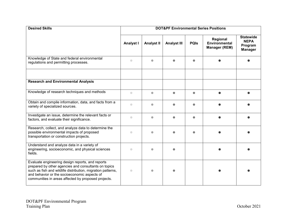| <b>Desired Skills</b>                                                                                                                                                                                                                                                          | <b>DOT&amp;PF Environmental Series Positions</b>                                            |                   |                    |             |                                                          |                                                              |  |
|--------------------------------------------------------------------------------------------------------------------------------------------------------------------------------------------------------------------------------------------------------------------------------|---------------------------------------------------------------------------------------------|-------------------|--------------------|-------------|----------------------------------------------------------|--------------------------------------------------------------|--|
|                                                                                                                                                                                                                                                                                | Analyst I                                                                                   | <b>Analyst II</b> | <b>Analyst III</b> | <b>PQIs</b> | Regional<br><b>Environmental</b><br><b>Manager (REM)</b> | <b>Statewide</b><br><b>NEPA</b><br>Program<br><b>Manager</b> |  |
| Knowledge of State and federal environmental<br>regulations and permitting processes.                                                                                                                                                                                          | $\bigcirc$                                                                                  | $\bullet$         | $\bullet$          | $\bullet$   |                                                          |                                                              |  |
| <b>Research and Environmental Analysis</b>                                                                                                                                                                                                                                     |                                                                                             |                   |                    |             |                                                          |                                                              |  |
| Knowledge of research techniques and methods                                                                                                                                                                                                                                   | $\bullet$                                                                                   | $\bullet$         | $\bullet$          | $\bullet$   |                                                          |                                                              |  |
| Obtain and compile information, data, and facts from a<br>variety of specialized sources.                                                                                                                                                                                      | $\begin{array}{ccc} \bullet & \bullet & \bullet \\ \bullet & \bullet & \bullet \end{array}$ | $\bullet$         | ●                  | $\bullet$   |                                                          |                                                              |  |
| Investigate an issue, determine the relevant facts or<br>factors, and evaluate their significance.                                                                                                                                                                             | $\bigcirc$                                                                                  |                   |                    | $\bullet$   |                                                          |                                                              |  |
| Research, collect, and analyze data to determine the<br>possible environmental impacts of proposed<br>transportation or construction projects.                                                                                                                                 | $\bigcirc$                                                                                  |                   |                    |             |                                                          |                                                              |  |
| Understand and analyze data in a variety of<br>engineering, socioeconomic, and physical sciences<br>fields.                                                                                                                                                                    | $\bigcirc$                                                                                  | $\bullet$         |                    |             |                                                          |                                                              |  |
| Evaluate engineering design reports, and reports<br>prepared by other agencies and consultants on topics<br>such as fish and wildlife distribution, migration patterns,<br>and behavior or the socioeconomic aspects of<br>communities in areas affected by proposed projects. | $\bigcirc$                                                                                  |                   |                    |             |                                                          |                                                              |  |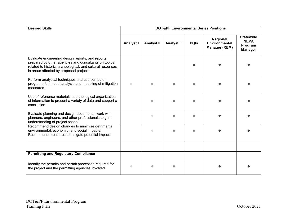| <b>Desired Skills</b>                                                                                                                                                                                             | <b>DOT&amp;PF Environmental Series Positions</b> |                   |                    |             |                                                   |                                                              |  |  |
|-------------------------------------------------------------------------------------------------------------------------------------------------------------------------------------------------------------------|--------------------------------------------------|-------------------|--------------------|-------------|---------------------------------------------------|--------------------------------------------------------------|--|--|
|                                                                                                                                                                                                                   | Analyst I                                        | <b>Analyst II</b> | <b>Analyst III</b> | <b>PQIs</b> | Regional<br>Environmental<br><b>Manager (REM)</b> | <b>Statewide</b><br><b>NEPA</b><br>Program<br><b>Manager</b> |  |  |
| Evaluate engineering design reports, and reports<br>prepared by other agencies and consultants on topics<br>related to historic, archeological, and cultural resources<br>in areas affected by proposed projects. |                                                  |                   |                    |             |                                                   |                                                              |  |  |
| Perform analytical techniques and use computer<br>programs for impact analysis and modeling of mitigation<br>measures.                                                                                            |                                                  |                   |                    |             |                                                   |                                                              |  |  |
| Use of reference materials and the logical organization<br>of information to present a variety of data and support a<br>conclusion.                                                                               |                                                  |                   |                    |             |                                                   |                                                              |  |  |
| Evaluate planning and design documents; work with<br>planners, engineers, and other professionals to gain<br>understanding of project scope.                                                                      |                                                  | $\bullet$         |                    |             |                                                   |                                                              |  |  |
| Recommend design changes to minimize detrimental<br>environmental, economic, and social impacts.<br>Recommend measures to mitigate potential impacts.                                                             |                                                  | $\bigcirc$        |                    |             |                                                   |                                                              |  |  |
|                                                                                                                                                                                                                   |                                                  |                   |                    |             |                                                   |                                                              |  |  |
| <b>Permitting and Regulatory Compliance</b>                                                                                                                                                                       |                                                  |                   |                    |             |                                                   |                                                              |  |  |
| Identify the permits and permit processes required for<br>the project and the permitting agencies involved.                                                                                                       | $\bigcirc$                                       |                   |                    |             |                                                   |                                                              |  |  |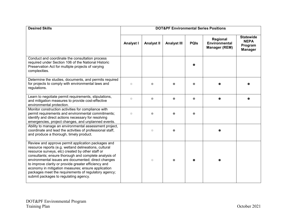| <b>Desired Skills</b>                                                                                                                                                                                                                                                                                                                                                                                                                                                                          | <b>DOT&amp;PF Environmental Series Positions</b> |                   |                    |             |                                                   |                                                              |  |
|------------------------------------------------------------------------------------------------------------------------------------------------------------------------------------------------------------------------------------------------------------------------------------------------------------------------------------------------------------------------------------------------------------------------------------------------------------------------------------------------|--------------------------------------------------|-------------------|--------------------|-------------|---------------------------------------------------|--------------------------------------------------------------|--|
|                                                                                                                                                                                                                                                                                                                                                                                                                                                                                                | <b>Analyst I</b>                                 | <b>Analyst II</b> | <b>Analyst III</b> | <b>PQIs</b> | Regional<br>Environmental<br><b>Manager (REM)</b> | <b>Statewide</b><br><b>NEPA</b><br>Program<br><b>Manager</b> |  |
| Conduct and coordinate the consultation process<br>required under Section 106 of the National Historic<br>Preservation Act for multiple projects of varying<br>complexities.                                                                                                                                                                                                                                                                                                                   |                                                  |                   |                    |             |                                                   |                                                              |  |
| Determine the studies, documents, and permits required<br>for projects to comply with environmental laws and<br>regulations.                                                                                                                                                                                                                                                                                                                                                                   | $\bigcirc$                                       |                   |                    |             |                                                   |                                                              |  |
| Learn to negotiate permit requirements, stipulations,<br>and mitigation measures to provide cost-effective<br>environmental protection.                                                                                                                                                                                                                                                                                                                                                        | $\bigcirc$                                       | $\bullet$         |                    | $\bullet$   |                                                   |                                                              |  |
| Monitor construction activities for compliance with<br>permit requirements and environmental commitments;<br>identify and direct actions necessary for resolving<br>emergencies, project changes, and unplanned events.                                                                                                                                                                                                                                                                        | $\bigcirc$                                       |                   |                    |             |                                                   |                                                              |  |
| Ability to manage an environmental assessment project,<br>coordinate and lead the activities of professional staff,<br>and produce a thorough, timely product.                                                                                                                                                                                                                                                                                                                                 |                                                  | $\bigcirc$        |                    |             |                                                   |                                                              |  |
| Review and approve permit application packages and<br>resource reports (e.g. wetland delineations, cultural<br>resource surveys, etc) created by other staff or<br>consultants; ensure thorough and complete analysis of<br>environmental issues are documented; direct changes<br>to improve clarity or provide greater efficiency and<br>economy in mitigation measures; ensure application<br>packages meet the requirements of regulatory agency;<br>submit packages to regulating agency. |                                                  | $\bigcirc$        |                    |             |                                                   |                                                              |  |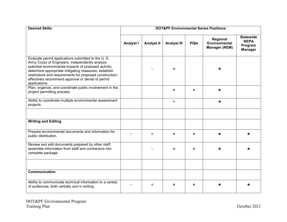| <b>Desired Skills</b>                                                                                                                                                                                                                                                                                                                                    | <b>DOT&amp;PF Environmental Series Positions</b> |                   |                    |             |                                                          |                                                              |  |
|----------------------------------------------------------------------------------------------------------------------------------------------------------------------------------------------------------------------------------------------------------------------------------------------------------------------------------------------------------|--------------------------------------------------|-------------------|--------------------|-------------|----------------------------------------------------------|--------------------------------------------------------------|--|
|                                                                                                                                                                                                                                                                                                                                                          | <b>Analyst I</b>                                 | <b>Analyst II</b> | <b>Analyst III</b> | <b>PQIs</b> | Regional<br><b>Environmental</b><br><b>Manager (REM)</b> | <b>Statewide</b><br><b>NEPA</b><br>Program<br><b>Manager</b> |  |
| Evaluate permit applications submitted to the U.S.<br>Army Corps of Engineers; independently analyze<br>potential environmental impacts of proposed activity;<br>determine appropriate mitigating measures; establish<br>restrictions and requirements for proposed construction;<br>effectively recommend approval or denial of permit<br>applications. |                                                  | $\bullet$         |                    |             |                                                          |                                                              |  |
| Plan, organize, and coordinate public involvement in the<br>project permitting process.                                                                                                                                                                                                                                                                  |                                                  |                   | $\bullet$          | $\bullet$   |                                                          |                                                              |  |
| Ability to coordinate multiple environmental assessment<br>projects.                                                                                                                                                                                                                                                                                     |                                                  |                   | $\bullet$          |             |                                                          |                                                              |  |
|                                                                                                                                                                                                                                                                                                                                                          |                                                  |                   |                    |             |                                                          |                                                              |  |
| <b>Writing and Editing</b>                                                                                                                                                                                                                                                                                                                               |                                                  |                   |                    |             |                                                          |                                                              |  |
| Prepare environmental documents and information for<br>public distribution.                                                                                                                                                                                                                                                                              | $\bigcirc$                                       | $\bullet$         |                    | $\bullet$   |                                                          |                                                              |  |
| Review and edit documents prepared by other staff;<br>assemble information from staff and contractors into<br>complete package.                                                                                                                                                                                                                          |                                                  | $\bigcirc$        |                    |             |                                                          |                                                              |  |
|                                                                                                                                                                                                                                                                                                                                                          |                                                  |                   |                    |             |                                                          |                                                              |  |
| Communication                                                                                                                                                                                                                                                                                                                                            |                                                  |                   |                    |             |                                                          |                                                              |  |
| Ability to communicate technical information to a variety<br>of audiences, both verbally and in writing.                                                                                                                                                                                                                                                 | $\bullet$                                        |                   |                    |             |                                                          |                                                              |  |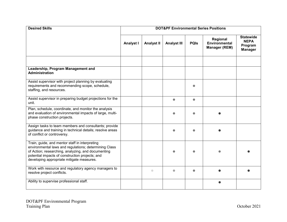| <b>Desired Skills</b>                                                                                                                                                                                                                                         | <b>DOT&amp;PF Environmental Series Positions</b> |                   |                    |             |                                                          |                                                              |
|---------------------------------------------------------------------------------------------------------------------------------------------------------------------------------------------------------------------------------------------------------------|--------------------------------------------------|-------------------|--------------------|-------------|----------------------------------------------------------|--------------------------------------------------------------|
|                                                                                                                                                                                                                                                               | <b>Analyst I</b>                                 | <b>Analyst II</b> | <b>Analyst III</b> | <b>PQIs</b> | Regional<br><b>Environmental</b><br><b>Manager (REM)</b> | <b>Statewide</b><br><b>NEPA</b><br>Program<br><b>Manager</b> |
|                                                                                                                                                                                                                                                               |                                                  |                   |                    |             |                                                          |                                                              |
| Leadership, Program Management and<br><b>Administration</b>                                                                                                                                                                                                   |                                                  |                   |                    |             |                                                          |                                                              |
| Assist supervisor with project planning by evaluating<br>requirements and recommending scope, schedule,<br>staffing, and resources.                                                                                                                           |                                                  |                   |                    |             |                                                          |                                                              |
| Assist supervisor in preparing budget projections for the<br>unit.                                                                                                                                                                                            |                                                  |                   | $\bullet$          | $\bullet$   |                                                          |                                                              |
| Plan, schedule, coordinate, and monitor the analysis<br>and evaluation of environmental impacts of large, multi-<br>phase construction projects.                                                                                                              |                                                  |                   |                    |             |                                                          |                                                              |
| Assign tasks to team members and consultants; provide<br>guidance and training in technical details; resolve areas<br>of conflict or controversy.                                                                                                             |                                                  |                   |                    |             |                                                          |                                                              |
| Train, guide, and mentor staff in interpreting<br>environmental laws and regulations; determining Class<br>of Action; researching, analyzing, and documenting<br>potential impacts of construction projects; and<br>developing appropriate mitigate measures. |                                                  |                   |                    |             |                                                          |                                                              |
| Work with resource and regulatory agency managers to<br>resolve project conflicts.                                                                                                                                                                            |                                                  | $\bullet$         | $\bullet$          | $\bullet$   |                                                          |                                                              |
| Ability to supervise professional staff.                                                                                                                                                                                                                      |                                                  |                   |                    |             |                                                          |                                                              |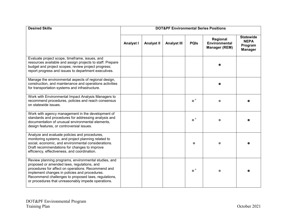| <b>Desired Skills</b>                                                                                                                                                                                                                                                                                                  |                  |                   |                    |                   | <b>DOT&amp;PF Environmental Series Positions</b>         |                                                              |
|------------------------------------------------------------------------------------------------------------------------------------------------------------------------------------------------------------------------------------------------------------------------------------------------------------------------|------------------|-------------------|--------------------|-------------------|----------------------------------------------------------|--------------------------------------------------------------|
|                                                                                                                                                                                                                                                                                                                        | <b>Analyst I</b> | <b>Analyst II</b> | <b>Analyst III</b> | <b>PQIs</b>       | Regional<br><b>Environmental</b><br><b>Manager (REM)</b> | <b>Statewide</b><br><b>NEPA</b><br>Program<br><b>Manager</b> |
| Evaluate project scope, timeframe, issues, and<br>resources available and assign projects to staff. Prepare<br>budget and project scopes; review project progress;<br>report progress and issues to department executives.                                                                                             |                  |                   |                    |                   |                                                          |                                                              |
| Manage the environmental aspects of regional design,<br>construction, and maintenance and operations activities<br>for transportation systems and infrastructure.                                                                                                                                                      |                  |                   |                    |                   |                                                          |                                                              |
| Work with Environmental Impact Analysis Managers to<br>recommend procedures, policies and reach consensus<br>on statewide issues.                                                                                                                                                                                      |                  |                   |                    | $\bullet^{\star}$ |                                                          |                                                              |
| Work with agency management in the development of<br>standards and procedures for addressing analysis and<br>documentation of unusual environmental elements,<br>design features, or controversial issues.                                                                                                             |                  |                   |                    | $\bullet^\star$   |                                                          |                                                              |
| Analyze and evaluate policies and procedures,<br>monitoring systems, and project planning related to<br>social, economic, and environmental considerations.<br>Draft recommendations for changes to improve<br>efficiency, effectiveness, and coordination.                                                            |                  |                   |                    |                   |                                                          |                                                              |
| Review planning programs, environmental studies, and<br>proposed or amended laws, regulations, and<br>procedures for affect on operations. Recommend and<br>implement changes in policies and procedures.<br>Recommend challenges to proposed laws, regulations,<br>or procedures that unreasonably impede operations. |                  |                   |                    | $\bullet^\star$   |                                                          |                                                              |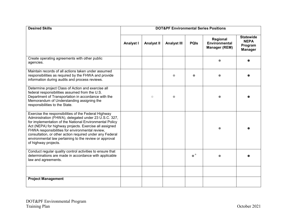| <b>Desired Skills</b>                                                                                                                                                                                                                                                                                                                                                                                                               | <b>DOT&amp;PF Environmental Series Positions</b> |                   |                    |                 |                                                   |                                                              |  |
|-------------------------------------------------------------------------------------------------------------------------------------------------------------------------------------------------------------------------------------------------------------------------------------------------------------------------------------------------------------------------------------------------------------------------------------|--------------------------------------------------|-------------------|--------------------|-----------------|---------------------------------------------------|--------------------------------------------------------------|--|
|                                                                                                                                                                                                                                                                                                                                                                                                                                     | <b>Analyst I</b>                                 | <b>Analyst II</b> | <b>Analyst III</b> | <b>PQIs</b>     | Regional<br>Environmental<br><b>Manager (REM)</b> | <b>Statewide</b><br><b>NEPA</b><br>Program<br><b>Manager</b> |  |
| Create operating agreements with other public<br>agencies.                                                                                                                                                                                                                                                                                                                                                                          |                                                  |                   |                    |                 |                                                   |                                                              |  |
| Maintain records of all actions taken under assumed<br>responsibilities as required by the FHWA and provide<br>information during audits and process reviews.                                                                                                                                                                                                                                                                       |                                                  |                   | a                  |                 |                                                   |                                                              |  |
| Determine project Class of Action and exercise all<br>federal responsibilities assumed from the U.S.<br>Department of Transportation in accordance with the<br>Memorandum of Understanding assigning the<br>responsibilities to the State.                                                                                                                                                                                          |                                                  | $\bullet$         |                    |                 |                                                   |                                                              |  |
| Exercise the responsibilities of the Federal Highway<br>Administration (FHWA), delegated under 23 U.S.C. 327,<br>for implementation of the National Environmental Policy<br>Act (NEPA) for highway projects. Exercise all assigned<br>FHWA responsibilities for environmental review,<br>consultation, or other action required under any Federal<br>environmental law pertaining to the review or approval<br>of highway projects. |                                                  |                   |                    |                 |                                                   |                                                              |  |
| Conduct regular quality control activities to ensure that<br>determinations are made in accordance with applicable<br>law and agreements.                                                                                                                                                                                                                                                                                           |                                                  |                   |                    | $\bullet^\star$ |                                                   |                                                              |  |
| <b>Project Management</b>                                                                                                                                                                                                                                                                                                                                                                                                           |                                                  |                   |                    |                 |                                                   |                                                              |  |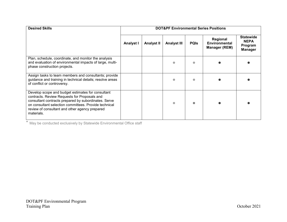| <b>Desired Skills</b>                                                                                                                                                                                                                                                              | <b>DOT&amp;PF Environmental Series Positions</b> |                   |                    |             |                                                          |                                                              |
|------------------------------------------------------------------------------------------------------------------------------------------------------------------------------------------------------------------------------------------------------------------------------------|--------------------------------------------------|-------------------|--------------------|-------------|----------------------------------------------------------|--------------------------------------------------------------|
|                                                                                                                                                                                                                                                                                    | <b>Analyst I</b>                                 | <b>Analyst II</b> | <b>Analyst III</b> | <b>PQIS</b> | Regional<br><b>Environmental</b><br><b>Manager (REM)</b> | <b>Statewide</b><br><b>NEPA</b><br>Program<br><b>Manager</b> |
| Plan, schedule, coordinate, and monitor the analysis<br>and evaluation of environmental impacts of large, multi-<br>phase construction projects.                                                                                                                                   |                                                  |                   |                    |             |                                                          |                                                              |
| Assign tasks to team members and consultants; provide<br>guidance and training in technical details; resolve areas<br>of conflict or controversy.                                                                                                                                  |                                                  |                   |                    |             |                                                          |                                                              |
| Develop scope and budget estimates for consultant<br>contracts. Review Requests for Proposals and<br>consultant contracts prepared by subordinates. Serve<br>on consultant selection committees. Provide technical<br>review of consultant and other agency prepared<br>materials. |                                                  |                   |                    |             |                                                          |                                                              |

\* May be conducted exclusively by Statewide Environmental Office staff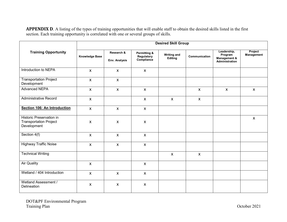**APPENDIX D**. A listing of the types of training opportunities that will enable staff to obtain the desired skills listed in the first section. Each training opportunity is correlated with one or several groups of skills.

<span id="page-43-0"></span>

|                                                                          | <b>Desired Skill Group</b> |                             |                                                     |                               |               |                                                          |                       |  |  |  |
|--------------------------------------------------------------------------|----------------------------|-----------------------------|-----------------------------------------------------|-------------------------------|---------------|----------------------------------------------------------|-----------------------|--|--|--|
| <b>Training Opportunity</b>                                              | <b>Knowledge Base</b>      | Research &<br>Env. Analysis | <b>Permitting &amp;</b><br>Regulatory<br>Compliance | <b>Writing and</b><br>Editing | Communication | Leadership,<br>Program<br>Management &<br>Administration | Project<br>Management |  |  |  |
| Introduction to NEPA                                                     | $\mathsf{x}$               | $\mathsf{X}$                | $\mathsf{x}$                                        |                               |               |                                                          |                       |  |  |  |
| <b>Transportation Project</b><br>Development                             | $\mathsf{x}$               | $\mathsf{X}$                |                                                     |                               |               |                                                          |                       |  |  |  |
| <b>Advanced NEPA</b>                                                     | $\mathsf{X}$               | $\mathsf{X}$                | $\mathsf{X}$                                        |                               | $\mathsf{X}$  | $\mathsf{X}$                                             | $\mathsf{X}$          |  |  |  |
| <b>Administrative Record</b>                                             | $\mathsf{X}$               |                             | $\mathsf{X}$                                        | $\mathsf{X}$                  | $\mathsf{X}$  |                                                          |                       |  |  |  |
| Section 106: An Introduction                                             | $\mathsf{x}$               | $\mathsf{X}$                | $\mathsf{X}$                                        |                               |               |                                                          |                       |  |  |  |
| Historic Preservation in<br><b>Transportation Project</b><br>Development | $\mathsf{X}$               | $\boldsymbol{X}$            | $\boldsymbol{X}$                                    |                               |               |                                                          | $\mathsf{X}$          |  |  |  |
| Section 4(f)                                                             | $\mathsf{X}$               | $\mathsf{X}$                | $\mathsf{X}$                                        |                               |               |                                                          |                       |  |  |  |
| <b>Highway Traffic Noise</b>                                             | $\mathsf{X}$               | $\mathsf{x}$                | $\mathsf{X}$                                        |                               |               |                                                          |                       |  |  |  |
| <b>Technical Writing</b>                                                 |                            |                             |                                                     | $\mathsf{X}$                  | $\mathsf{X}$  |                                                          |                       |  |  |  |
| <b>Air Quality</b>                                                       | $\mathsf{X}$               |                             | $\mathsf{X}$                                        |                               |               |                                                          |                       |  |  |  |
| Wetland / 404 Introduction                                               | $\mathsf{x}$               | $\mathsf{X}$                | $\mathsf{X}$                                        |                               |               |                                                          |                       |  |  |  |
| Wetland Assessment /<br>Delineation                                      | $\pmb{\mathsf{x}}$         | $\boldsymbol{\mathsf{X}}$   | $\boldsymbol{\mathsf{X}}$                           |                               |               |                                                          |                       |  |  |  |